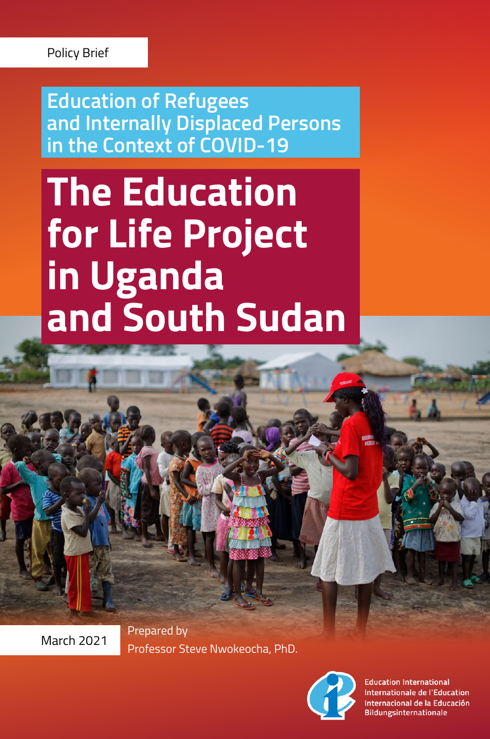**Education of Refugees and Internally Displaced Persons in the Context of COVID-19**

# **The Education for Life Project in Uganda and South Sudan**

Prepared by March 2021 Professor Steve Nwokeocha, PhD.



**Education International** Internationale de l'Education Internacional de la Educación Bildungsinternationale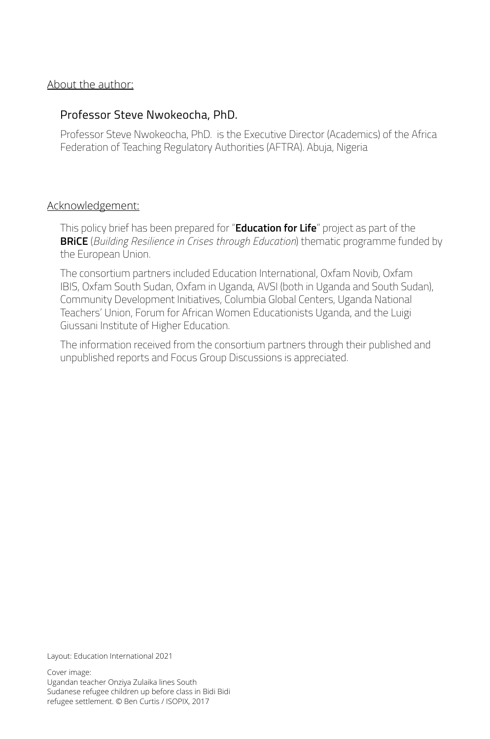#### About the author:

#### Professor Steve Nwokeocha, PhD.

Professor Steve Nwokeocha, PhD. is the Executive Director (Academics) of the Africa Federation of Teaching Regulatory Authorities (AFTRA). Abuja, Nigeria

#### Acknowledgement:

This policy brief has been prepared for "**Education for Life**" project as part of the **BRiCE** (*Building Resilience in Crises through Education*) thematic programme funded by the European Union.

The consortium partners included Education International, Oxfam Novib, Oxfam IBIS, Oxfam South Sudan, Oxfam in Uganda, AVSI (both in Uganda and South Sudan), Community Development Initiatives, Columbia Global Centers, Uganda National Teachers' Union, Forum for African Women Educationists Uganda, and the Luigi Giussani Institute of Higher Education.

The information received from the consortium partners through their published and unpublished reports and Focus Group Discussions is appreciated.

Layout: Education International 2021

Cover image: Ugandan teacher Onziya Zulaika lines South Sudanese refugee children up before class in Bidi Bidi refugee settlement. © Ben Curtis / ISOPIX, 2017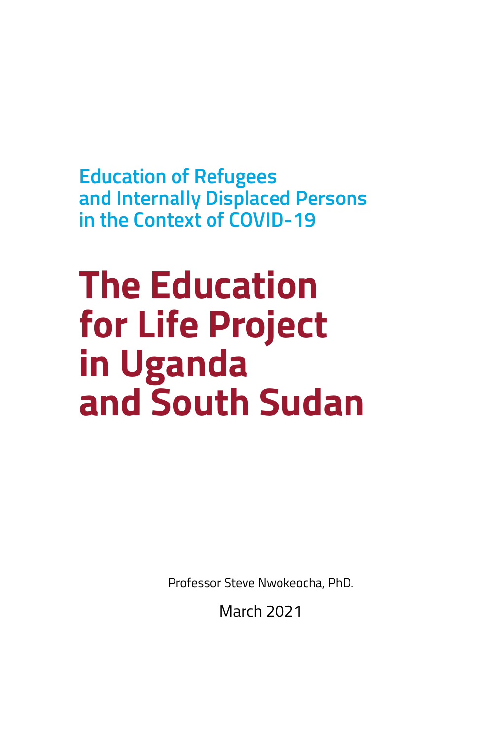**Education of Refugees and Internally Displaced Persons in the Context of COVID-19**

# **The Education for Life Project in Uganda and South Sudan**

Professor Steve Nwokeocha, PhD.

March 2021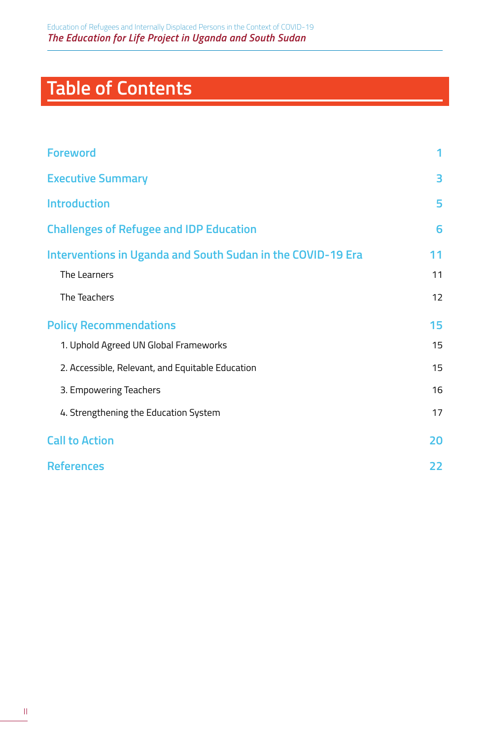## **Table of Contents**

| <b>Foreword</b>                                             | 1  |
|-------------------------------------------------------------|----|
| <b>Executive Summary</b>                                    | 3  |
| <b>Introduction</b>                                         | 5  |
| <b>Challenges of Refugee and IDP Education</b>              | 6  |
| Interventions in Uganda and South Sudan in the COVID-19 Era | 11 |
| The Learners                                                | 11 |
| The Teachers                                                | 12 |
| <b>Policy Recommendations</b>                               | 15 |
| 1. Uphold Agreed UN Global Frameworks                       | 15 |
| 2. Accessible, Relevant, and Equitable Education            | 15 |
| 3. Empowering Teachers                                      | 16 |
| 4. Strengthening the Education System                       | 17 |
| <b>Call to Action</b>                                       | 20 |
| <b>References</b>                                           | 22 |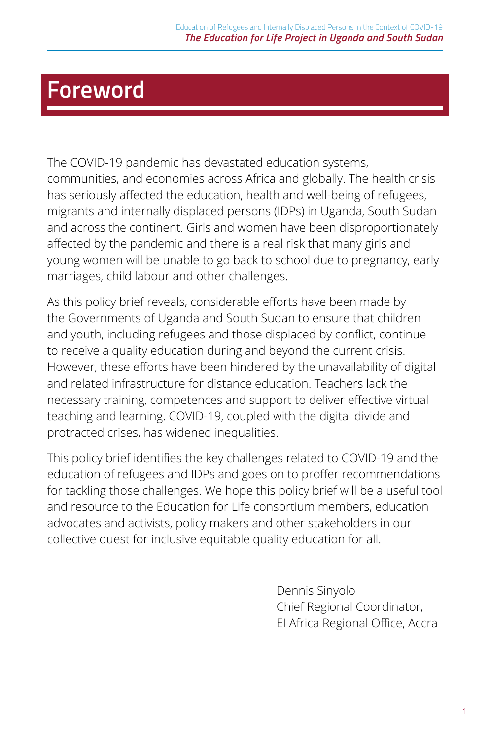### <span id="page-4-0"></span>**Foreword**

The COVID-19 pandemic has devastated education systems, communities, and economies across Africa and globally. The health crisis has seriously affected the education, health and well-being of refugees, migrants and internally displaced persons (IDPs) in Uganda, South Sudan and across the continent. Girls and women have been disproportionately affected by the pandemic and there is a real risk that many girls and young women will be unable to go back to school due to pregnancy, early marriages, child labour and other challenges.

As this policy brief reveals, considerable efforts have been made by the Governments of Uganda and South Sudan to ensure that children and youth, including refugees and those displaced by conflict, continue to receive a quality education during and beyond the current crisis. However, these efforts have been hindered by the unavailability of digital and related infrastructure for distance education. Teachers lack the necessary training, competences and support to deliver effective virtual teaching and learning. COVID-19, coupled with the digital divide and protracted crises, has widened inequalities.

This policy brief identifies the key challenges related to COVID-19 and the education of refugees and IDPs and goes on to proffer recommendations for tackling those challenges. We hope this policy brief will be a useful tool and resource to the Education for Life consortium members, education advocates and activists, policy makers and other stakeholders in our collective quest for inclusive equitable quality education for all.

> Dennis Sinyolo Chief Regional Coordinator, EI Africa Regional Office, Accra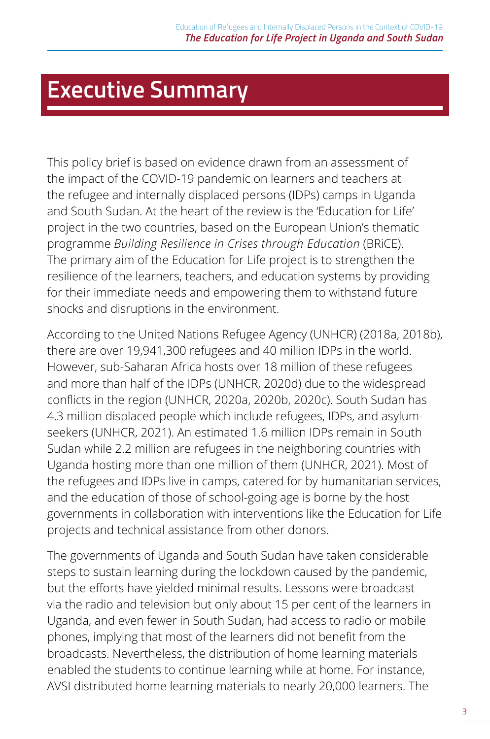### <span id="page-6-0"></span>**Executive Summary**

This policy brief is based on evidence drawn from an assessment of the impact of the COVID-19 pandemic on learners and teachers at the refugee and internally displaced persons (IDPs) camps in Uganda and South Sudan. At the heart of the review is the 'Education for Life' project in the two countries, based on the European Union's thematic programme *Building Resilience in Crises through Education* (BRiCE). The primary aim of the Education for Life project is to strengthen the resilience of the learners, teachers, and education systems by providing for their immediate needs and empowering them to withstand future shocks and disruptions in the environment.

According to the United Nations Refugee Agency (UNHCR) (2018a, 2018b), there are over 19,941,300 refugees and 40 million IDPs in the world. However, sub-Saharan Africa hosts over 18 million of these refugees and more than half of the IDPs (UNHCR, 2020d) due to the widespread conflicts in the region (UNHCR, 2020a, 2020b, 2020c). South Sudan has 4.3 million displaced people which include refugees, IDPs, and asylumseekers (UNHCR, 2021). An estimated 1.6 million IDPs remain in South Sudan while 2.2 million are refugees in the neighboring countries with Uganda hosting more than one million of them (UNHCR, 2021). Most of the refugees and IDPs live in camps, catered for by humanitarian services, and the education of those of school-going age is borne by the host governments in collaboration with interventions like the Education for Life projects and technical assistance from other donors.

The governments of Uganda and South Sudan have taken considerable steps to sustain learning during the lockdown caused by the pandemic, but the efforts have yielded minimal results. Lessons were broadcast via the radio and television but only about 15 per cent of the learners in Uganda, and even fewer in South Sudan, had access to radio or mobile phones, implying that most of the learners did not benefit from the broadcasts. Nevertheless, the distribution of home learning materials enabled the students to continue learning while at home. For instance, AVSI distributed home learning materials to nearly 20,000 learners. The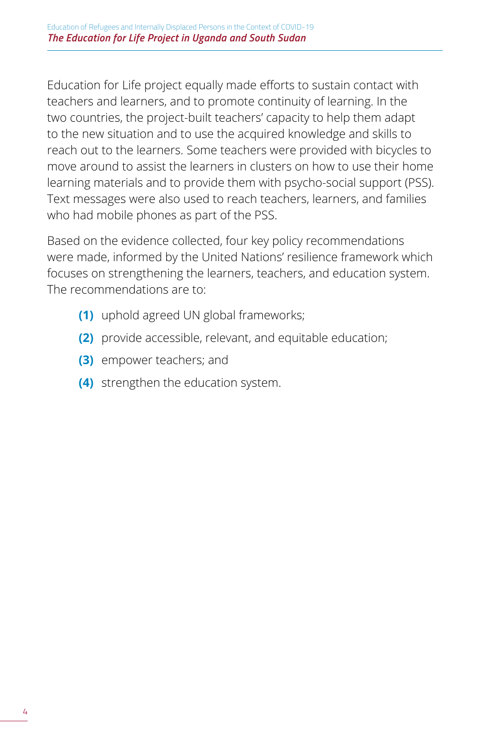Education for Life project equally made efforts to sustain contact with teachers and learners, and to promote continuity of learning. In the two countries, the project-built teachers' capacity to help them adapt to the new situation and to use the acquired knowledge and skills to reach out to the learners. Some teachers were provided with bicycles to move around to assist the learners in clusters on how to use their home learning materials and to provide them with psycho-social support (PSS). Text messages were also used to reach teachers, learners, and families who had mobile phones as part of the PSS.

Based on the evidence collected, four key policy recommendations were made, informed by the United Nations' resilience framework which focuses on strengthening the learners, teachers, and education system. The recommendations are to:

- **(1)** uphold agreed UN global frameworks;
- **(2)** provide accessible, relevant, and equitable education;
- **(3)** empower teachers; and
- **(4)** strengthen the education system.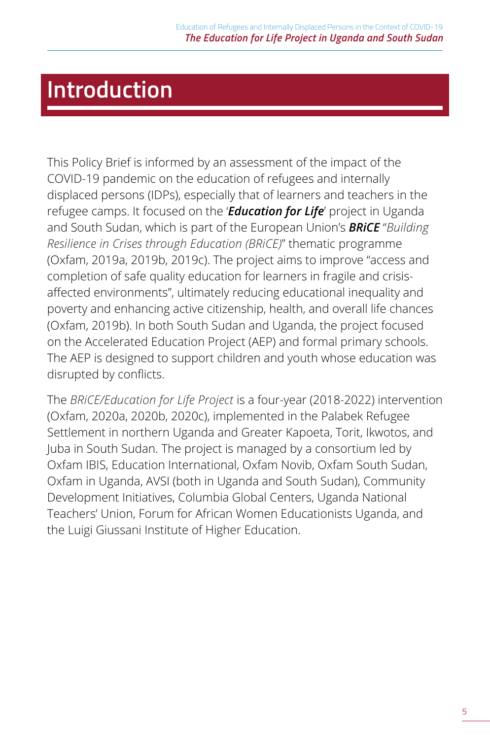## <span id="page-8-0"></span>**Introduction**

This Policy Brief is informed by an assessment of the impact of the COVID-19 pandemic on the education of refugees and internally displaced persons (IDPs), especially that of learners and teachers in the refugee camps. It focused on the '*Education for Life*' project in Uganda and South Sudan, which is part of the European Union's *BRiCE* "*Building Resilience in Crises through Education (BRiCE)*" thematic programme (Oxfam, 2019a, 2019b, 2019c). The project aims to improve "access and completion of safe quality education for learners in fragile and crisisaffected environments", ultimately reducing educational inequality and poverty and enhancing active citizenship, health, and overall life chances (Oxfam, 2019b). In both South Sudan and Uganda, the project focused on the Accelerated Education Project (AEP) and formal primary schools. The AEP is designed to support children and youth whose education was disrupted by conflicts.

The *BRiCE/Education for Life Project* is a four-year (2018-2022) intervention (Oxfam, 2020a, 2020b, 2020c), implemented in the Palabek Refugee Settlement in northern Uganda and Greater Kapoeta, Torit, Ikwotos, and Juba in South Sudan. The project is managed by a consortium led by Oxfam IBIS, Education International, Oxfam Novib, Oxfam South Sudan, Oxfam in Uganda, AVSI (both in Uganda and South Sudan), Community Development Initiatives, Columbia Global Centers, Uganda National Teachers' Union, Forum for African Women Educationists Uganda, and the Luigi Giussani Institute of Higher Education.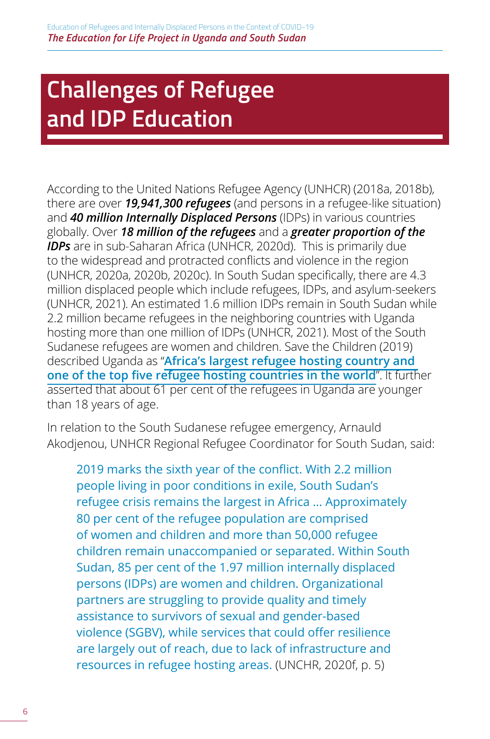# <span id="page-9-0"></span>**Challenges of Refugee and IDP Education**

According to the United Nations Refugee Agency (UNHCR) (2018a, 2018b), there are over *19,941,300 refugees* (and persons in a refugee-like situation) and *40 million Internally Displaced Persons* (IDPs) in various countries globally. Over *18 million of the refugees* and a *greater proportion of the IDPs* are in sub-Saharan Africa (UNHCR, 2020d). This is primarily due to the widespread and protracted conflicts and violence in the region (UNHCR, 2020a, 2020b, 2020c). In South Sudan specifically, there are 4.3 million displaced people which include refugees, IDPs, and asylum-seekers (UNHCR, 2021). An estimated 1.6 million IDPs remain in South Sudan while 2.2 million became refugees in the neighboring countries with Uganda hosting more than one million of IDPs (UNHCR, 2021). Most of the South Sudanese refugees are women and children. Save the Children (2019) described Uganda as "**Africa's largest refugee hosting country and one of the top five refugee hosting countries in the world**". It further asserted that about 61 per cent of the refugees in Uganda are younger than 18 years of age.

In relation to the South Sudanese refugee emergency, Arnauld Akodjenou, UNHCR Regional Refugee Coordinator for South Sudan, said:

2019 marks the sixth year of the conflict. With 2.2 million people living in poor conditions in exile, South Sudan's refugee crisis remains the largest in Africa … Approximately 80 per cent of the refugee population are comprised of women and children and more than 50,000 refugee children remain unaccompanied or separated. Within South Sudan, 85 per cent of the 1.97 million internally displaced persons (IDPs) are women and children. Organizational partners are struggling to provide quality and timely assistance to survivors of sexual and gender-based violence (SGBV), while services that could offer resilience are largely out of reach, due to lack of infrastructure and resources in refugee hosting areas. (UNCHR, 2020f, p. 5)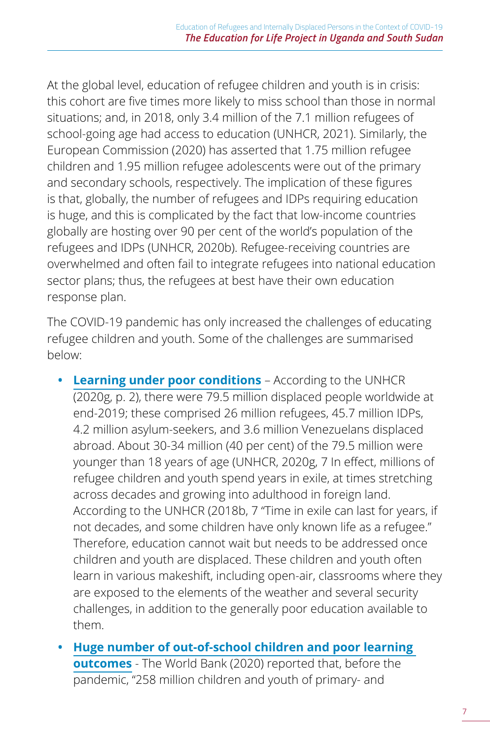At the global level, education of refugee children and youth is in crisis: this cohort are five times more likely to miss school than those in normal situations; and, in 2018, only 3.4 million of the 7.1 million refugees of school-going age had access to education (UNHCR, 2021). Similarly, the European Commission (2020) has asserted that 1.75 million refugee children and 1.95 million refugee adolescents were out of the primary and secondary schools, respectively. The implication of these figures is that, globally, the number of refugees and IDPs requiring education is huge, and this is complicated by the fact that low-income countries globally are hosting over 90 per cent of the world's population of the refugees and IDPs (UNHCR, 2020b). Refugee-receiving countries are overwhelmed and often fail to integrate refugees into national education sector plans; thus, the refugees at best have their own education response plan.

The COVID-19 pandemic has only increased the challenges of educating refugee children and youth. Some of the challenges are summarised below:

- **• Learning under poor conditions** According to the UNHCR (2020g, p. 2), there were 79.5 million displaced people worldwide at end-2019; these comprised 26 million refugees, 45.7 million IDPs, 4.2 million asylum-seekers, and 3.6 million Venezuelans displaced abroad. About 30-34 million (40 per cent) of the 79.5 million were younger than 18 years of age (UNHCR, 2020g, 7 In effect, millions of refugee children and youth spend years in exile, at times stretching across decades and growing into adulthood in foreign land. According to the UNHCR (2018b, 7 "Time in exile can last for years, if not decades, and some children have only known life as a refugee." Therefore, education cannot wait but needs to be addressed once children and youth are displaced. These children and youth often learn in various makeshift, including open-air, classrooms where they are exposed to the elements of the weather and several security challenges, in addition to the generally poor education available to them.
- **• Huge number of out-of-school children and poor learning outcomes** - The World Bank (2020) reported that, before the pandemic, "258 million children and youth of primary- and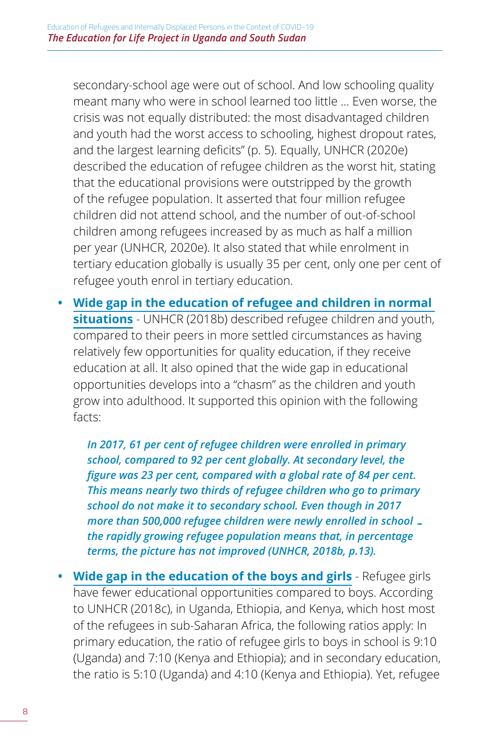secondary-school age were out of school. And low schooling quality meant many who were in school learned too little … Even worse, the crisis was not equally distributed: the most disadvantaged children and youth had the worst access to schooling, highest dropout rates, and the largest learning deficits" (p. 5). Equally, UNHCR (2020e) described the education of refugee children as the worst hit, stating that the educational provisions were outstripped by the growth of the refugee population. It asserted that four million refugee children did not attend school, and the number of out-of-school children among refugees increased by as much as half a million per year (UNHCR, 2020e). It also stated that while enrolment in tertiary education globally is usually 35 per cent, only one per cent of refugee youth enrol in tertiary education.

**• Wide gap in the education of refugee and children in normal situations** - UNHCR (2018b) described refugee children and youth, compared to their peers in more settled circumstances as having relatively few opportunities for quality education, if they receive education at all. It also opined that the wide gap in educational opportunities develops into a "chasm" as the children and youth grow into adulthood. It supported this opinion with the following facts:

*In 2017, 61 per cent of refugee children were enrolled in primary school, compared to 92 per cent globally. At secondary level, the figure was 23 per cent, compared with a global rate of 84 per cent. This means nearly two thirds of refugee children who go to primary school do not make it to secondary school. Even though in 2017 more than 500,000 refugee children were newly enrolled in school … the rapidly growing refugee population means that, in percentage terms, the picture has not improved (UNHCR, 2018b, p.13).*

**• Wide gap in the education of the boys and girls** - Refugee girls have fewer educational opportunities compared to boys. According to UNHCR (2018c), in Uganda, Ethiopia, and Kenya, which host most of the refugees in sub-Saharan Africa, the following ratios apply: In primary education, the ratio of refugee girls to boys in school is 9:10 (Uganda) and 7:10 (Kenya and Ethiopia); and in secondary education, the ratio is 5:10 (Uganda) and 4:10 (Kenya and Ethiopia). Yet, refugee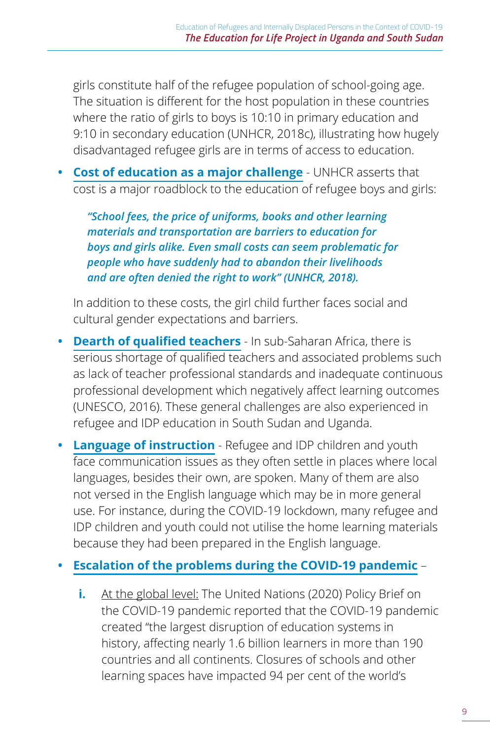girls constitute half of the refugee population of school-going age. The situation is different for the host population in these countries where the ratio of girls to boys is 10:10 in primary education and 9:10 in secondary education (UNHCR, 2018c), illustrating how hugely disadvantaged refugee girls are in terms of access to education.

**• Cost of education as a major challenge** - UNHCR asserts that cost is a major roadblock to the education of refugee boys and girls:

*"School fees, the price of uniforms, books and other learning materials and transportation are barriers to education for boys and girls alike. Even small costs can seem problematic for people who have suddenly had to abandon their livelihoods and are often denied the right to work" (UNHCR, 2018).* 

In addition to these costs, the girl child further faces social and cultural gender expectations and barriers.

- **• Dearth of qualified teachers** In sub-Saharan Africa, there is serious shortage of qualified teachers and associated problems such as lack of teacher professional standards and inadequate continuous professional development which negatively affect learning outcomes (UNESCO, 2016). These general challenges are also experienced in refugee and IDP education in South Sudan and Uganda.
- **• Language of instruction** Refugee and IDP children and youth face communication issues as they often settle in places where local languages, besides their own, are spoken. Many of them are also not versed in the English language which may be in more general use. For instance, during the COVID-19 lockdown, many refugee and IDP children and youth could not utilise the home learning materials because they had been prepared in the English language.

#### **• Escalation of the problems during the COVID-19 pandemic** –

**i.** At the global level: The United Nations (2020) Policy Brief on the COVID-19 pandemic reported that the COVID-19 pandemic created "the largest disruption of education systems in history, affecting nearly 1.6 billion learners in more than 190 countries and all continents. Closures of schools and other learning spaces have impacted 94 per cent of the world's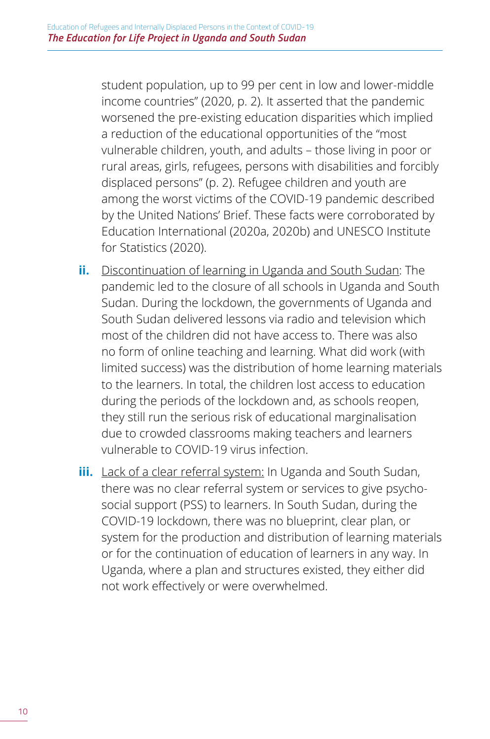student population, up to 99 per cent in low and lower-middle income countries" (2020, p. 2). It asserted that the pandemic worsened the pre-existing education disparities which implied a reduction of the educational opportunities of the "most vulnerable children, youth, and adults – those living in poor or rural areas, girls, refugees, persons with disabilities and forcibly displaced persons" (p. 2). Refugee children and youth are among the worst victims of the COVID-19 pandemic described by the United Nations' Brief. These facts were corroborated by Education International (2020a, 2020b) and UNESCO Institute for Statistics (2020).

- **ii.** Discontinuation of learning in Uganda and South Sudan: The pandemic led to the closure of all schools in Uganda and South Sudan. During the lockdown, the governments of Uganda and South Sudan delivered lessons via radio and television which most of the children did not have access to. There was also no form of online teaching and learning. What did work (with limited success) was the distribution of home learning materials to the learners. In total, the children lost access to education during the periods of the lockdown and, as schools reopen, they still run the serious risk of educational marginalisation due to crowded classrooms making teachers and learners vulnerable to COVID-19 virus infection.
- **iii.** Lack of a clear referral system: In Uganda and South Sudan, there was no clear referral system or services to give psychosocial support (PSS) to learners. In South Sudan, during the COVID-19 lockdown, there was no blueprint, clear plan, or system for the production and distribution of learning materials or for the continuation of education of learners in any way. In Uganda, where a plan and structures existed, they either did not work effectively or were overwhelmed.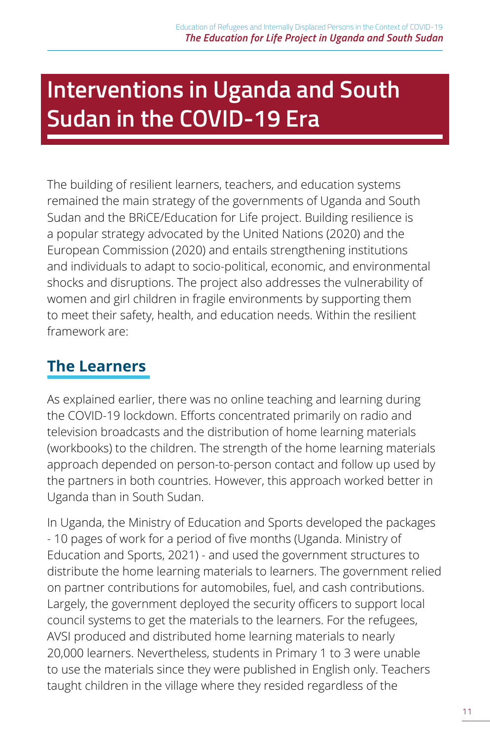# <span id="page-14-0"></span>**Interventions in Uganda and South Sudan in the COVID-19 Era**

The building of resilient learners, teachers, and education systems remained the main strategy of the governments of Uganda and South Sudan and the BRiCE/Education for Life project. Building resilience is a popular strategy advocated by the United Nations (2020) and the European Commission (2020) and entails strengthening institutions and individuals to adapt to socio-political, economic, and environmental shocks and disruptions. The project also addresses the vulnerability of women and girl children in fragile environments by supporting them to meet their safety, health, and education needs. Within the resilient framework are:

### **The Learners**

As explained earlier, there was no online teaching and learning during the COVID-19 lockdown. Efforts concentrated primarily on radio and television broadcasts and the distribution of home learning materials (workbooks) to the children. The strength of the home learning materials approach depended on person-to-person contact and follow up used by the partners in both countries. However, this approach worked better in Uganda than in South Sudan.

In Uganda, the Ministry of Education and Sports developed the packages - 10 pages of work for a period of five months (Uganda. Ministry of Education and Sports, 2021) - and used the government structures to distribute the home learning materials to learners. The government relied on partner contributions for automobiles, fuel, and cash contributions. Largely, the government deployed the security officers to support local council systems to get the materials to the learners. For the refugees, AVSI produced and distributed home learning materials to nearly 20,000 learners. Nevertheless, students in Primary 1 to 3 were unable to use the materials since they were published in English only. Teachers taught children in the village where they resided regardless of the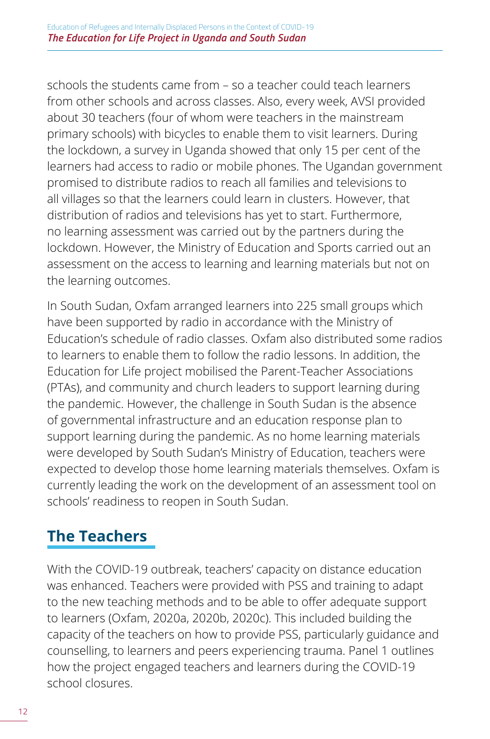<span id="page-15-0"></span>schools the students came from – so a teacher could teach learners from other schools and across classes. Also, every week, AVSI provided about 30 teachers (four of whom were teachers in the mainstream primary schools) with bicycles to enable them to visit learners. During the lockdown, a survey in Uganda showed that only 15 per cent of the learners had access to radio or mobile phones. The Ugandan government promised to distribute radios to reach all families and televisions to all villages so that the learners could learn in clusters. However, that distribution of radios and televisions has yet to start. Furthermore, no learning assessment was carried out by the partners during the lockdown. However, the Ministry of Education and Sports carried out an assessment on the access to learning and learning materials but not on the learning outcomes.

In South Sudan, Oxfam arranged learners into 225 small groups which have been supported by radio in accordance with the Ministry of Education's schedule of radio classes. Oxfam also distributed some radios to learners to enable them to follow the radio lessons. In addition, the Education for Life project mobilised the Parent-Teacher Associations (PTAs), and community and church leaders to support learning during the pandemic. However, the challenge in South Sudan is the absence of governmental infrastructure and an education response plan to support learning during the pandemic. As no home learning materials were developed by South Sudan's Ministry of Education, teachers were expected to develop those home learning materials themselves. Oxfam is currently leading the work on the development of an assessment tool on schools' readiness to reopen in South Sudan.

### **The Teachers**

With the COVID-19 outbreak, teachers' capacity on distance education was enhanced. Teachers were provided with PSS and training to adapt to the new teaching methods and to be able to offer adequate support to learners (Oxfam, 2020a, 2020b, 2020c). This included building the capacity of the teachers on how to provide PSS, particularly guidance and counselling, to learners and peers experiencing trauma. Panel 1 outlines how the project engaged teachers and learners during the COVID-19 school closures.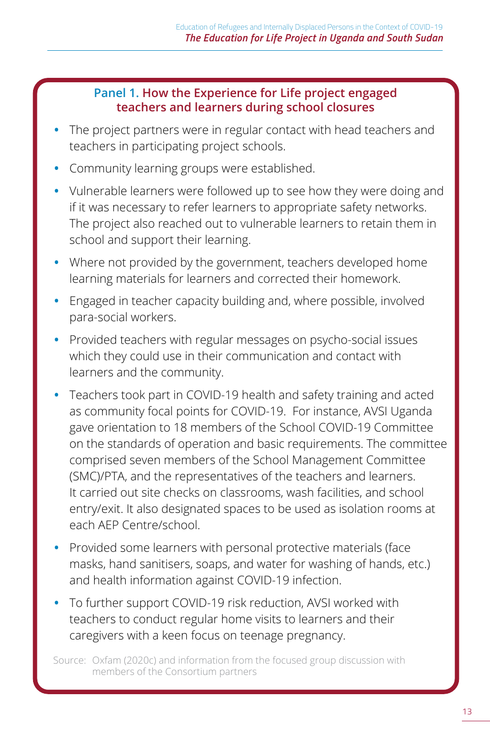#### **Panel 1. How the Experience for Life project engaged teachers and learners during school closures**

- **•** The project partners were in regular contact with head teachers and teachers in participating project schools.
- **•** Community learning groups were established.
- **•** Vulnerable learners were followed up to see how they were doing and if it was necessary to refer learners to appropriate safety networks. The project also reached out to vulnerable learners to retain them in school and support their learning.
- **•** Where not provided by the government, teachers developed home learning materials for learners and corrected their homework.
- **•** Engaged in teacher capacity building and, where possible, involved para-social workers.
- **•** Provided teachers with regular messages on psycho-social issues which they could use in their communication and contact with learners and the community.
- **•** Teachers took part in COVID-19 health and safety training and acted as community focal points for COVID-19. For instance, AVSI Uganda gave orientation to 18 members of the School COVID-19 Committee on the standards of operation and basic requirements. The committee comprised seven members of the School Management Committee (SMC)/PTA, and the representatives of the teachers and learners. It carried out site checks on classrooms, wash facilities, and school entry/exit. It also designated spaces to be used as isolation rooms at each AEP Centre/school.
- **•** Provided some learners with personal protective materials (face masks, hand sanitisers, soaps, and water for washing of hands, etc.) and health information against COVID-19 infection.
- **•** To further support COVID-19 risk reduction, AVSI worked with teachers to conduct regular home visits to learners and their caregivers with a keen focus on teenage pregnancy.

Source: Oxfam (2020c) and information from the focused group discussion with members of the Consortium partners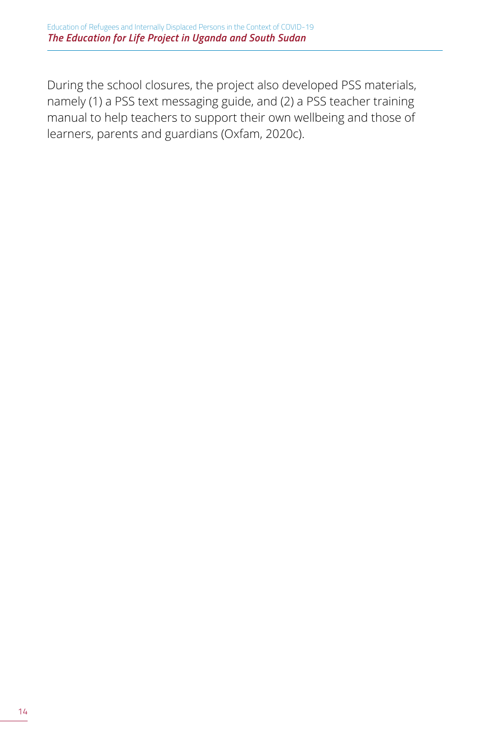During the school closures, the project also developed PSS materials, namely (1) a PSS text messaging guide, and (2) a PSS teacher training manual to help teachers to support their own wellbeing and those of learners, parents and guardians (Oxfam, 2020c).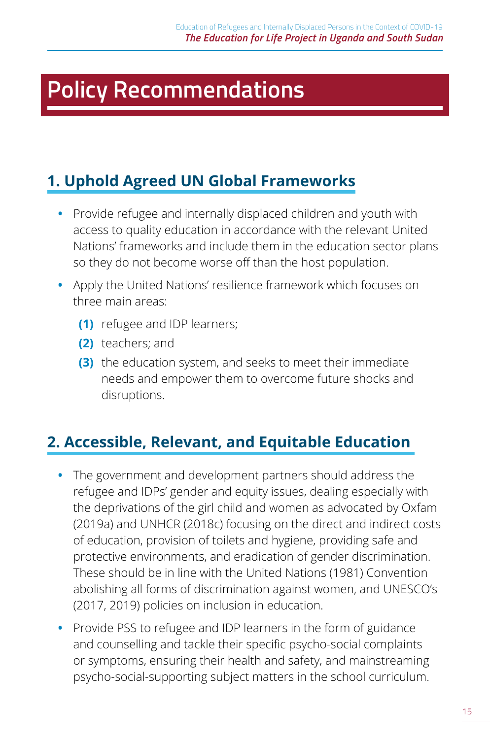# <span id="page-18-0"></span>**Policy Recommendations**

### **1. Uphold Agreed UN Global Frameworks**

- **•** Provide refugee and internally displaced children and youth with access to quality education in accordance with the relevant United Nations' frameworks and include them in the education sector plans so they do not become worse off than the host population.
- **•** Apply the United Nations' resilience framework which focuses on three main areas:
	- **(1)** refugee and IDP learners;
	- **(2)** teachers; and
	- **(3)** the education system, and seeks to meet their immediate needs and empower them to overcome future shocks and disruptions.

### **2. Accessible, Relevant, and Equitable Education**

- **•** The government and development partners should address the refugee and IDPs' gender and equity issues, dealing especially with the deprivations of the girl child and women as advocated by Oxfam (2019a) and UNHCR (2018c) focusing on the direct and indirect costs of education, provision of toilets and hygiene, providing safe and protective environments, and eradication of gender discrimination. These should be in line with the United Nations (1981) Convention abolishing all forms of discrimination against women, and UNESCO's (2017, 2019) policies on inclusion in education.
- **•** Provide PSS to refugee and IDP learners in the form of guidance and counselling and tackle their specific psycho-social complaints or symptoms, ensuring their health and safety, and mainstreaming psycho-social-supporting subject matters in the school curriculum.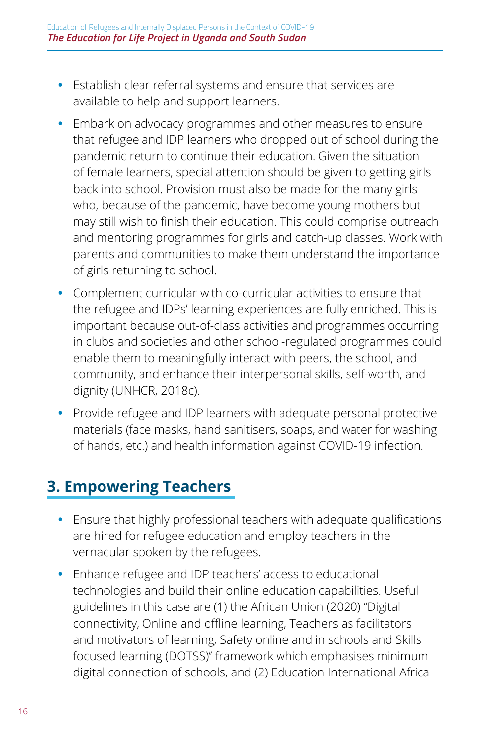- <span id="page-19-0"></span>**•** Establish clear referral systems and ensure that services are available to help and support learners.
- **•** Embark on advocacy programmes and other measures to ensure that refugee and IDP learners who dropped out of school during the pandemic return to continue their education. Given the situation of female learners, special attention should be given to getting girls back into school. Provision must also be made for the many girls who, because of the pandemic, have become young mothers but may still wish to finish their education. This could comprise outreach and mentoring programmes for girls and catch-up classes. Work with parents and communities to make them understand the importance of girls returning to school.
- **•** Complement curricular with co-curricular activities to ensure that the refugee and IDPs' learning experiences are fully enriched. This is important because out-of-class activities and programmes occurring in clubs and societies and other school-regulated programmes could enable them to meaningfully interact with peers, the school, and community, and enhance their interpersonal skills, self-worth, and dignity (UNHCR, 2018c).
- **•** Provide refugee and IDP learners with adequate personal protective materials (face masks, hand sanitisers, soaps, and water for washing of hands, etc.) and health information against COVID-19 infection.

### **3. Empowering Teachers**

- **•** Ensure that highly professional teachers with adequate qualifications are hired for refugee education and employ teachers in the vernacular spoken by the refugees.
- **•** Enhance refugee and IDP teachers' access to educational technologies and build their online education capabilities. Useful guidelines in this case are (1) the African Union (2020) "Digital connectivity, Online and offline learning, Teachers as facilitators and motivators of learning, Safety online and in schools and Skills focused learning (DOTSS)" framework which emphasises minimum digital connection of schools, and (2) Education International Africa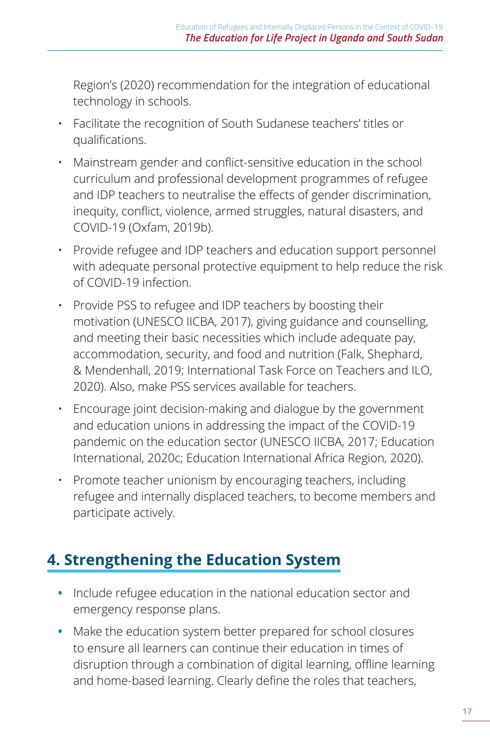<span id="page-20-0"></span>Region's (2020) recommendation for the integration of educational technology in schools.

- Facilitate the recognition of South Sudanese teachers' titles or qualifications.
- Mainstream gender and conflict-sensitive education in the school curriculum and professional development programmes of refugee and IDP teachers to neutralise the effects of gender discrimination, inequity, conflict, violence, armed struggles, natural disasters, and COVID-19 (Oxfam, 2019b).
- Provide refugee and IDP teachers and education support personnel with adequate personal protective equipment to help reduce the risk of COVID-19 infection.
- Provide PSS to refugee and IDP teachers by boosting their motivation (UNESCO IICBA, 2017), giving guidance and counselling, and meeting their basic necessities which include adequate pay, accommodation, security, and food and nutrition (Falk, Shephard, & Mendenhall, 2019; International Task Force on Teachers and ILO, 2020). Also, make PSS services available for teachers.
- Encourage joint decision-making and dialogue by the government and education unions in addressing the impact of the COVID-19 pandemic on the education sector (UNESCO IICBA, 2017; Education International, 2020c; Education International Africa Region, 2020).
- Promote teacher unionism by encouraging teachers, including refugee and internally displaced teachers, to become members and participate actively.

### **4. Strengthening the Education System**

- **•** Include refugee education in the national education sector and emergency response plans.
- **•** Make the education system better prepared for school closures to ensure all learners can continue their education in times of disruption through a combination of digital learning, offline learning and home-based learning. Clearly define the roles that teachers,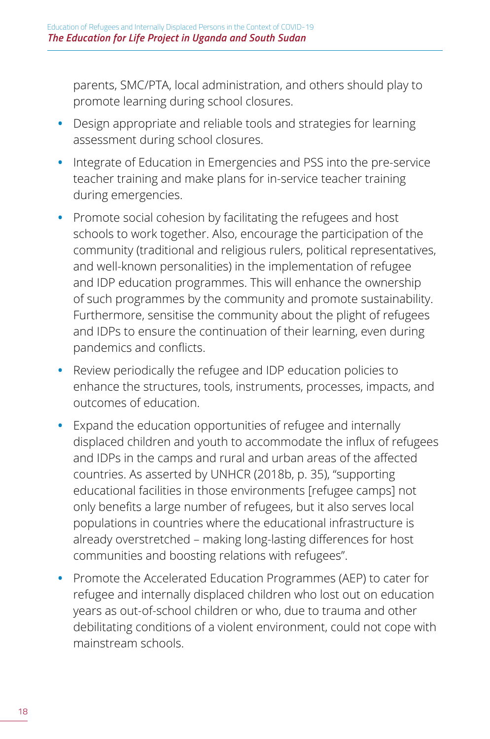parents, SMC/PTA, local administration, and others should play to promote learning during school closures.

- **•** Design appropriate and reliable tools and strategies for learning assessment during school closures.
- **•** Integrate of Education in Emergencies and PSS into the pre-service teacher training and make plans for in-service teacher training during emergencies.
- **•** Promote social cohesion by facilitating the refugees and host schools to work together. Also, encourage the participation of the community (traditional and religious rulers, political representatives, and well-known personalities) in the implementation of refugee and IDP education programmes. This will enhance the ownership of such programmes by the community and promote sustainability. Furthermore, sensitise the community about the plight of refugees and IDPs to ensure the continuation of their learning, even during pandemics and conflicts.
- **•** Review periodically the refugee and IDP education policies to enhance the structures, tools, instruments, processes, impacts, and outcomes of education.
- **•** Expand the education opportunities of refugee and internally displaced children and youth to accommodate the influx of refugees and IDPs in the camps and rural and urban areas of the affected countries. As asserted by UNHCR (2018b, p. 35), "supporting educational facilities in those environments [refugee camps] not only benefits a large number of refugees, but it also serves local populations in countries where the educational infrastructure is already overstretched – making long-lasting differences for host communities and boosting relations with refugees".
- **•** Promote the Accelerated Education Programmes (AEP) to cater for refugee and internally displaced children who lost out on education years as out-of-school children or who, due to trauma and other debilitating conditions of a violent environment, could not cope with mainstream schools.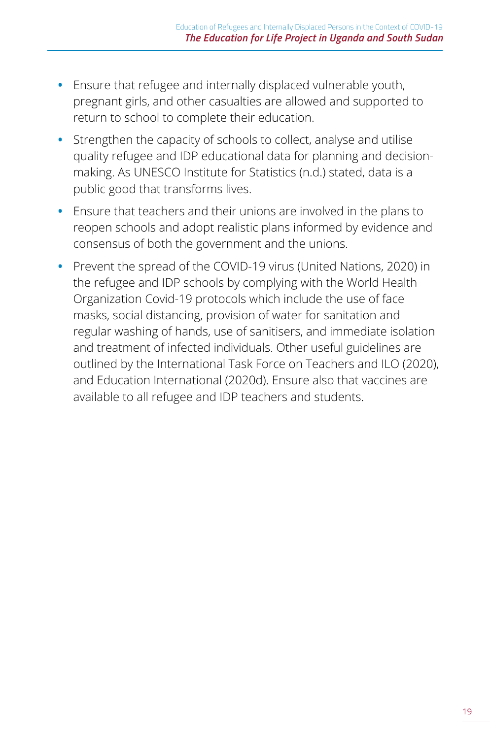- **•** Ensure that refugee and internally displaced vulnerable youth, pregnant girls, and other casualties are allowed and supported to return to school to complete their education.
- **•** Strengthen the capacity of schools to collect, analyse and utilise quality refugee and IDP educational data for planning and decisionmaking. As UNESCO Institute for Statistics (n.d.) stated, data is a public good that transforms lives.
- **•** Ensure that teachers and their unions are involved in the plans to reopen schools and adopt realistic plans informed by evidence and consensus of both the government and the unions.
- **•** Prevent the spread of the COVID-19 virus (United Nations, 2020) in the refugee and IDP schools by complying with the World Health Organization Covid-19 protocols which include the use of face masks, social distancing, provision of water for sanitation and regular washing of hands, use of sanitisers, and immediate isolation and treatment of infected individuals. Other useful guidelines are outlined by the International Task Force on Teachers and ILO (2020), and Education International (2020d). Ensure also that vaccines are available to all refugee and IDP teachers and students.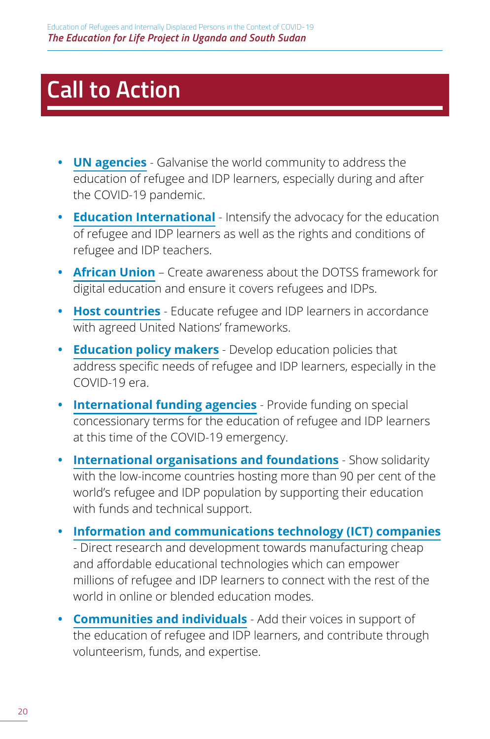# <span id="page-23-0"></span>**Call to Action**

- **• UN agencies** Galvanise the world community to address the education of refugee and IDP learners, especially during and after the COVID-19 pandemic.
- **• Education International** Intensify the advocacy for the education of refugee and IDP learners as well as the rights and conditions of refugee and IDP teachers.
- **• African Union** Create awareness about the DOTSS framework for digital education and ensure it covers refugees and IDPs.
- **• Host countries** Educate refugee and IDP learners in accordance with agreed United Nations' frameworks.
- **• Education policy makers** Develop education policies that address specific needs of refugee and IDP learners, especially in the COVID-19 era.
- **• International funding agencies** Provide funding on special concessionary terms for the education of refugee and IDP learners at this time of the COVID-19 emergency.
- **• International organisations and foundations** Show solidarity with the low-income countries hosting more than 90 per cent of the world's refugee and IDP population by supporting their education with funds and technical support.
- **• Information and communications technology (ICT) companies** - Direct research and development towards manufacturing cheap and affordable educational technologies which can empower millions of refugee and IDP learners to connect with the rest of the world in online or blended education modes.
- **• Communities and individuals** Add their voices in support of the education of refugee and IDP learners, and contribute through volunteerism, funds, and expertise.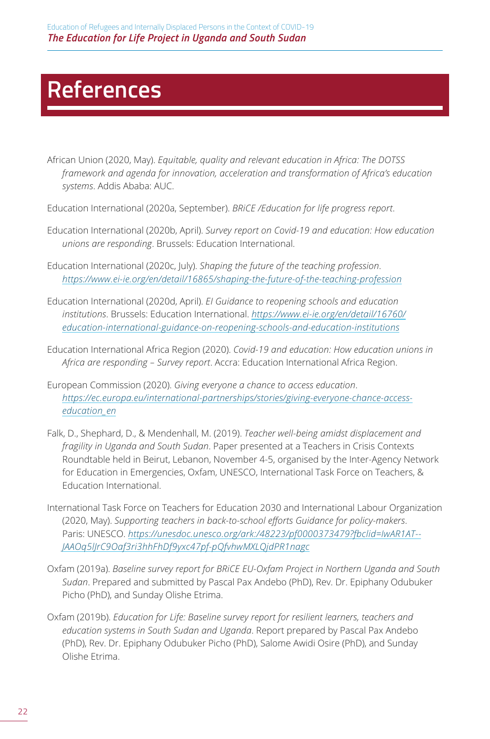## <span id="page-25-0"></span>**References**

- African Union (2020, May). *Equitable, quality and relevant education in Africa: The DOTSS framework and agenda for innovation, acceleration and transformation of Africa's education systems*. Addis Ababa: AUC.
- Education International (2020a, September). *BRiCE /Education for life progress report*.
- Education International (2020b, April). *Survey report on Covid-19 and education: How education unions are responding*. Brussels: Education International.
- Education International (2020c, July). *Shaping the future of the teaching profession*. *<https://www.ei-ie.org/en/detail/16865/shaping-the-future-of-the-teaching-profession>*
- Education International (2020d, April). *EI Guidance to reopening schools and education institutions*. Brussels: Education International. *[https://www.ei-ie.org/en/detail/16760/](https://www.ei-ie.org/en/detail/16760/education-international-guidance-on-reopening-schools-and-education-institutions) [education-international-guidance-on-reopening-schools-and-education-institutions](https://www.ei-ie.org/en/detail/16760/education-international-guidance-on-reopening-schools-and-education-institutions)*
- Education International Africa Region (2020). *Covid-19 and education: How education unions in Africa are responding – Survey report*. Accra: Education International Africa Region.
- European Commission (2020). *Giving everyone a chance to access education*. *[https://ec.europa.eu/international-partnerships/stories/giving-everyone-chance-access](https://ec.europa.eu/international-partnerships/stories/giving-everyone-chance-access-education_en)[education\\_en](https://ec.europa.eu/international-partnerships/stories/giving-everyone-chance-access-education_en)*
- Falk, D., Shephard, D., & Mendenhall, M. (2019). *Teacher well-being amidst displacement and fragility in Uganda and South Sudan*. Paper presented at a Teachers in Crisis Contexts Roundtable held in Beirut, Lebanon, November 4-5, organised by the Inter-Agency Network for Education in Emergencies, Oxfam, UNESCO, International Task Force on Teachers, & Education International.
- International Task Force on Teachers for Education 2030 and International Labour Organization (2020, May). *Supporting teachers in back-to-school efforts Guidance for policy-makers*. Paris: UNESCO. *[https://unesdoc.unesco.org/ark:/48223/pf0000373479?fbclid=IwAR1AT--](https://unesdoc.unesco.org/ark:/48223/pf0000373479?fbclid=IwAR1AT--JAAOq5lJrC9Oaf3ri3hhFhDf9yxc47pf-pQfvhwMXLQjdPR1nagc) [JAAOq5lJrC9Oaf3ri3hhFhDf9yxc47pf-pQfvhwMXLQjdPR1nagc](https://unesdoc.unesco.org/ark:/48223/pf0000373479?fbclid=IwAR1AT--JAAOq5lJrC9Oaf3ri3hhFhDf9yxc47pf-pQfvhwMXLQjdPR1nagc)*
- Oxfam (2019a). *Baseline survey report for BRiCE EU-Oxfam Project in Northern Uganda and South Sudan*. Prepared and submitted by Pascal Pax Andebo (PhD), Rev. Dr. Epiphany Odubuker Picho (PhD), and Sunday Olishe Etrima.
- Oxfam (2019b). *Education for Life: Baseline survey report for resilient learners, teachers and education systems in South Sudan and Uganda*. Report prepared by Pascal Pax Andebo (PhD), Rev. Dr. Epiphany Odubuker Picho (PhD), Salome Awidi Osire (PhD), and Sunday Olishe Etrima.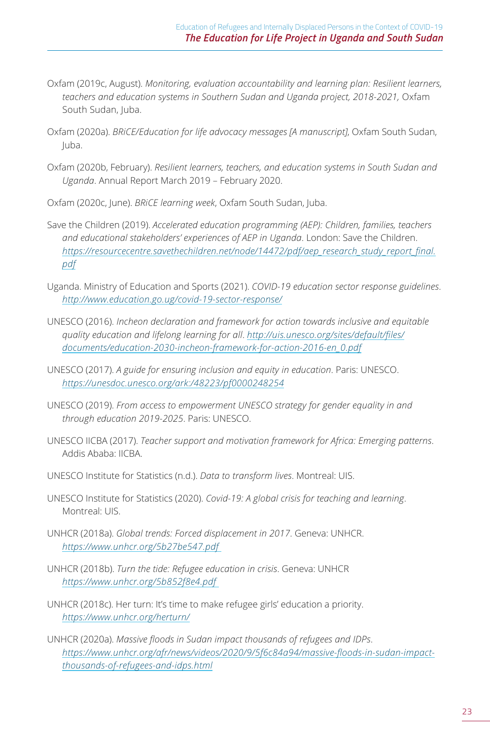- Oxfam (2019c, August). *Monitoring, evaluation accountability and learning plan: Resilient learners, teachers and education systems in Southern Sudan and Uganda project, 2018-2021,* Oxfam South Sudan, Juba.
- Oxfam (2020a). *BRiCE/Education for life advocacy messages [A manuscript]*, Oxfam South Sudan, Juba.
- Oxfam (2020b, February). *Resilient learners, teachers, and education systems in South Sudan and Uganda*. Annual Report March 2019 – February 2020.
- Oxfam (2020c, June). *BRiCE learning week*, Oxfam South Sudan, Juba.
- Save the Children (2019). *Accelerated education programming (AEP): Children, families, teachers and educational stakeholders' experiences of AEP in Uganda*. London: Save the Children. *[https://resourcecentre.savethechildren.net/node/14472/pdf/aep\\_research\\_study\\_report\\_final.](https://resourcecentre.savethechildren.net/node/14472/pdf/aep_research_study_report_final.pdf) [pdf](https://resourcecentre.savethechildren.net/node/14472/pdf/aep_research_study_report_final.pdf)*
- Uganda. Ministry of Education and Sports (2021). *COVID-19 education sector response guidelines*. *<http://www.education.go.ug/covid-19-sector-response/>*
- UNESCO (2016). *Incheon declaration and framework for action towards inclusive and equitable quality education and lifelong learning for all*. *[http://uis.unesco.org/sites/default/files/](http://uis.unesco.org/sites/default/files/documents/education-2030-incheon-framework-for-action-2016-en_0.pdf) [documents/education-2030-incheon-framework-for-action-2016-en\\_0.pdf](http://uis.unesco.org/sites/default/files/documents/education-2030-incheon-framework-for-action-2016-en_0.pdf)*
- UNESCO (2017). *A guide for ensuring inclusion and equity in education*. Paris: UNESCO. *<https://unesdoc.unesco.org/ark:/48223/pf0000248254>*
- UNESCO (2019). *From access to empowerment UNESCO strategy for gender equality in and through education 2019-2025*. Paris: UNESCO.
- UNESCO IICBA (2017). *Teacher support and motivation framework for Africa: Emerging patterns*. Addis Ababa: IICBA.
- UNESCO Institute for Statistics (n.d.). *Data to transform lives*. Montreal: UIS.
- UNESCO Institute for Statistics (2020). *Covid-19: A global crisis for teaching and learning*. Montreal: UIS.
- UNHCR (2018a). *Global trends: Forced displacement in 2017*. Geneva: UNHCR. *<https://www.unhcr.org/5b27be547.pdf>*
- UNHCR (2018b). *Turn the tide: Refugee education in crisis*. Geneva: UNHCR *<https://www.unhcr.org/5b852f8e4.pdf>*
- UNHCR (2018c). Her turn: It's time to make refugee girls' education a priority. *<https://www.unhcr.org/herturn/>*
- UNHCR (2020a). *Massive floods in Sudan impact thousands of refugees and IDPs*. *[https://www.unhcr.org/afr/news/videos/2020/9/5f6c84a94/massive-floods-in-sudan-impact](https://www.unhcr.org/afr/news/videos/2020/9/5f6c84a94/massive-floods-in-sudan-impact-thousands-of-refugees-and-idps.html)[thousands-of-refugees-and-idps.html](https://www.unhcr.org/afr/news/videos/2020/9/5f6c84a94/massive-floods-in-sudan-impact-thousands-of-refugees-and-idps.html)*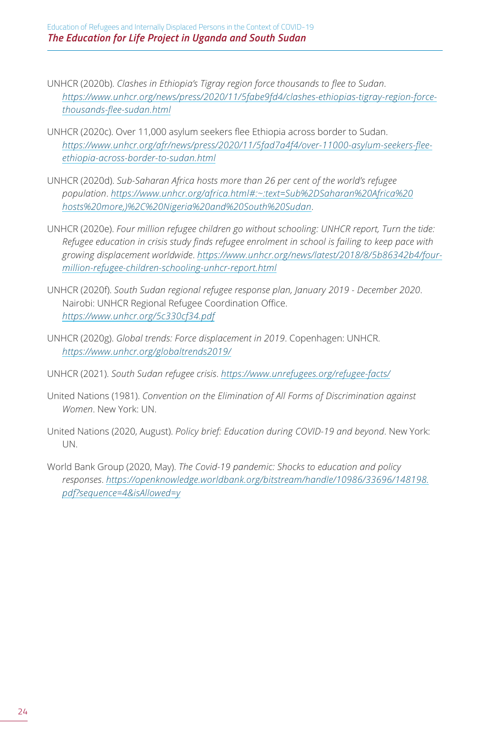Education of Refugees and Internally Displaced Persons in the Context of COVID-19 *The Education for Life Project in Uganda and South Sudan* 

- UNHCR (2020b). *Clashes in Ethiopia's Tigray region force thousands to flee to Sudan*. *[https://www.unhcr.org/news/press/2020/11/5fabe9fd4/clashes-ethiopias-tigray-region-force](https://www.unhcr.org/news/press/2020/11/5fabe9fd4/clashes-ethiopias-tigray-region-force-thousands-flee-sudan.html)[thousands-flee-sudan.html](https://www.unhcr.org/news/press/2020/11/5fabe9fd4/clashes-ethiopias-tigray-region-force-thousands-flee-sudan.html)*
- UNHCR (2020c). Over 11,000 asylum seekers flee Ethiopia across border to Sudan. *[https://www.unhcr.org/afr/news/press/2020/11/5fad7a4f4/over-11000-asylum-seekers-flee](https://www.unhcr.org/afr/news/press/2020/11/5fad7a4f4/over-11000-asylum-seekers-flee-ethiopia-across-border-to-sudan.html)[ethiopia-across-border-to-sudan.html](https://www.unhcr.org/afr/news/press/2020/11/5fad7a4f4/over-11000-asylum-seekers-flee-ethiopia-across-border-to-sudan.html)*
- UNHCR (2020d). *Sub-Saharan Africa hosts more than 26 per cent of the world's refugee population*. *[https://www.unhcr.org/africa.html#:~:text=Sub%2DSaharan%20Africa%20](https://www.unhcr.org/africa.html#:~:text=Sub%2DSaharan%20Africa%20hosts%20more,)%2C%20Nigeria%20and%20South%20Sudan) [hosts%20more,\)%2C%20Nigeria%20and%20South%20Sudan](https://www.unhcr.org/africa.html#:~:text=Sub%2DSaharan%20Africa%20hosts%20more,)%2C%20Nigeria%20and%20South%20Sudan)*.
- UNHCR (2020e). *Four million refugee children go without schooling: UNHCR report, Turn the tide: Refugee education in crisis study finds refugee enrolment in school is failing to keep pace with growing displacement worldwide*. *[https://www.unhcr.org/news/latest/2018/8/5b86342b4/four](https://www.unhcr.org/news/latest/2018/8/5b86342b4/four-million-refugee-children-schooling-unhcr-report.html)[million-refugee-children-schooling-unhcr-report.html](https://www.unhcr.org/news/latest/2018/8/5b86342b4/four-million-refugee-children-schooling-unhcr-report.html)*
- UNHCR (2020f). *South Sudan regional refugee response plan, January 2019 December 2020*. Nairobi: UNHCR Regional Refugee Coordination Office. *<https://www.unhcr.org/5c330cf34.pdf>*
- UNHCR (2020g). *Global trends: Force displacement in 2019*. Copenhagen: UNHCR. *<https://www.unhcr.org/globaltrends2019/>*
- UNHCR (2021). *South Sudan refugee crisis*. *<https://www.unrefugees.org/refugee-facts/>*
- United Nations (1981). *Convention on the Elimination of All Forms of Discrimination against Women*. New York: UN.
- United Nations (2020, August). *Policy brief: Education during COVID-19 and beyond*. New York: UN.
- World Bank Group (2020, May). *The Covid-19 pandemic: Shocks to education and policy responses*. *[https://openknowledge.worldbank.org/bitstream/handle/10986/33696/148198.](https://openknowledge.worldbank.org/bitstream/handle/10986/33696/148198.pdf?sequence=4&isAllowed=y) [pdf?sequence=4&isAllowed=y](https://openknowledge.worldbank.org/bitstream/handle/10986/33696/148198.pdf?sequence=4&isAllowed=y)*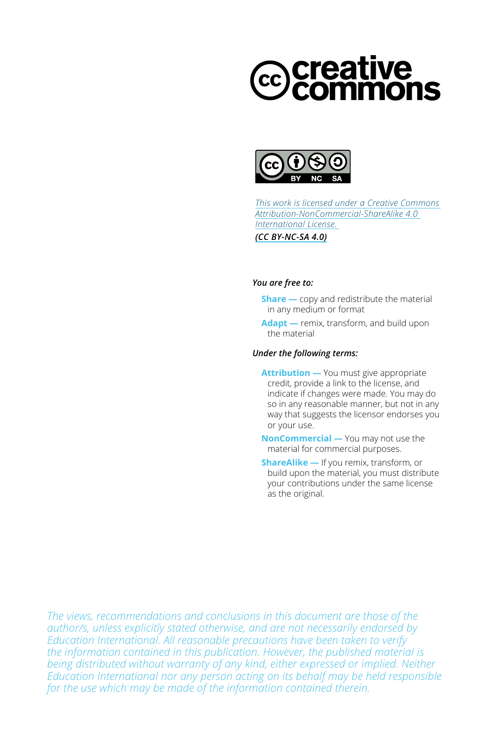# creative<br>Common



*[This work is licensed under a Creative Commons](https://creativecommons.org/licenses/by-nc-sa/4.0/)  [Attribution-NonCommercial-ShareAlike 4.0](https://creativecommons.org/licenses/by-nc-sa/4.0/)  [International License.](https://creativecommons.org/licenses/by-nc-sa/4.0/)*

*(CC BY-NC-SA 4.0)*

#### *You are free to:*

- **Share** copy and redistribute the material in any medium or format
- **Adapt —** remix, transform, and build upon the material

#### *Under the following terms:*

- **Attribution** You must give appropriate credit, provide a link to the license, and indicate if changes were made. You may do so in any reasonable manner, but not in any way that suggests the licensor endorses you or your use.
- **NonCommercial —** You may not use the material for commercial purposes.
- **ShareAlike —** If you remix, transform, or build upon the material, you must distribute your contributions under the same license as the original.

*The views, recommendations and conclusions in this document are those of the author/s, unless explicitly stated otherwise, and are not necessarily endorsed by Education International. All reasonable precautions have been taken to verify the information contained in this publication. However, the published material is being distributed without warranty of any kind, either expressed or implied. Neither Education International nor any person acting on its behalf may be held responsible for the use which may be made of the information contained therein.*